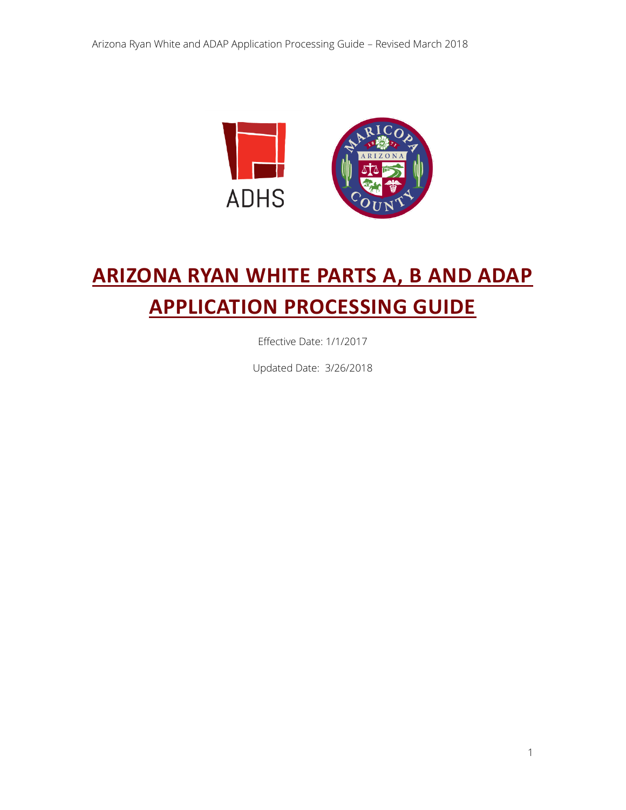

# **ARIZONA RYAN WHITE PARTS A, B AND ADAP APPLICATION PROCESSING GUIDE**

Effective Date: 1/1/2017

Updated Date: 3/26/2018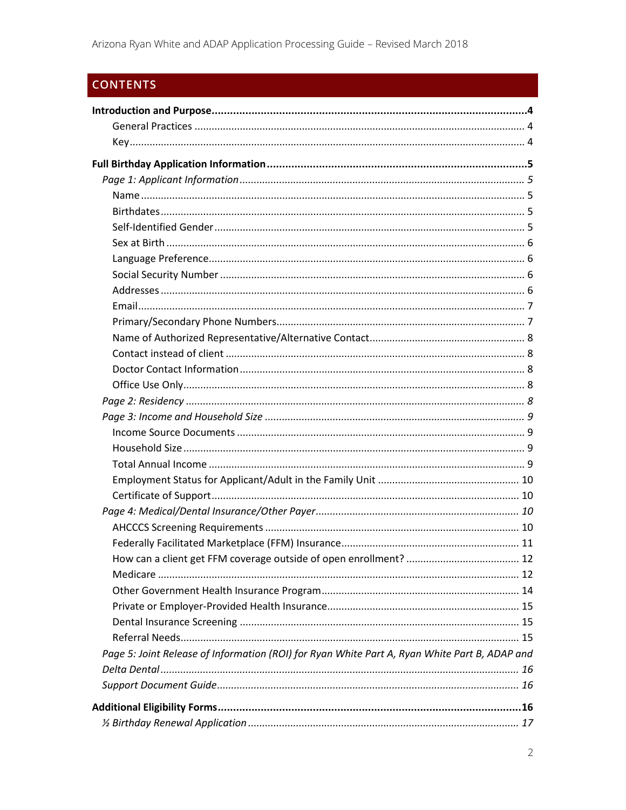## **CONTENTS**

| Page 5: Joint Release of Information (ROI) for Ryan White Part A, Ryan White Part B, ADAP and |  |
|-----------------------------------------------------------------------------------------------|--|
|                                                                                               |  |
|                                                                                               |  |
|                                                                                               |  |
|                                                                                               |  |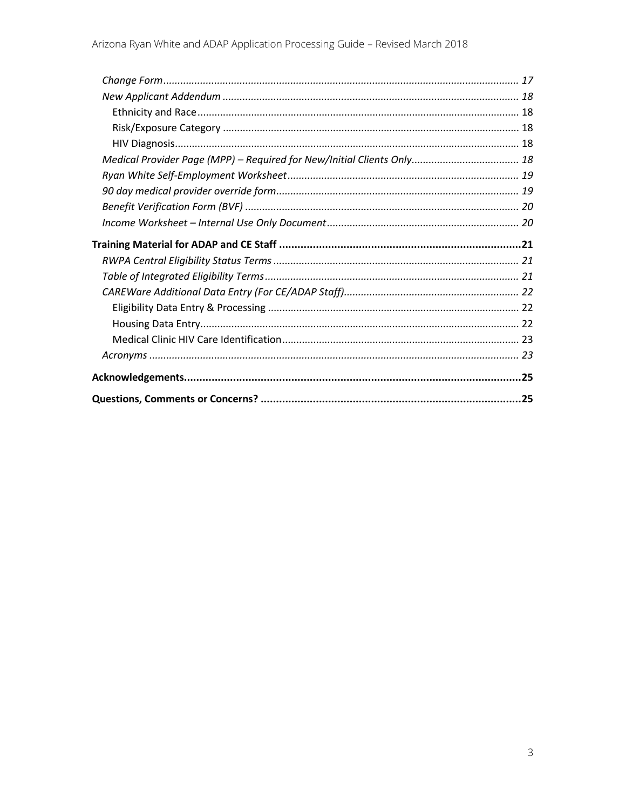| Medical Provider Page (MPP) - Required for New/Initial Clients Only 18 |  |
|------------------------------------------------------------------------|--|
|                                                                        |  |
|                                                                        |  |
|                                                                        |  |
|                                                                        |  |
|                                                                        |  |
|                                                                        |  |
|                                                                        |  |
|                                                                        |  |
|                                                                        |  |
|                                                                        |  |
|                                                                        |  |
|                                                                        |  |
|                                                                        |  |
|                                                                        |  |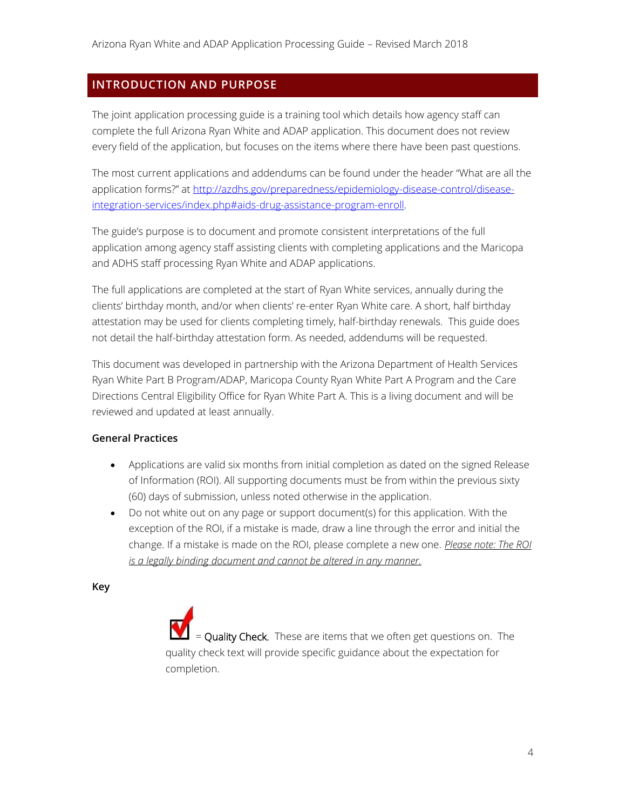## <span id="page-3-0"></span>**INTRODUCTION AND PURPOSE**

The joint application processing guide is a training tool which details how agency staff can complete the full Arizona Ryan White and ADAP application. This document does not review every field of the application, but focuses on the items where there have been past questions.

The most current applications and addendums can be found under the header "What are all the application forms?" at [http://azdhs.gov/preparedness/epidemiology-disease-control/disease](http://azdhs.gov/preparedness/epidemiology-disease-control/disease-integration-services/index.php#aids-drug-assistance-program-enroll)[integration-services/index.php#aids-drug-assistance-program-enroll.](http://azdhs.gov/preparedness/epidemiology-disease-control/disease-integration-services/index.php#aids-drug-assistance-program-enroll) 

The guide's purpose is to document and promote consistent interpretations of the full application among agency staff assisting clients with completing applications and the Maricopa and ADHS staff processing Ryan White and ADAP applications.

The full applications are completed at the start of Ryan White services, annually during the clients' birthday month, and/or when clients' re-enter Ryan White care. A short, half birthday attestation may be used for clients completing timely, half-birthday renewals. This guide does not detail the half-birthday attestation form. As needed, addendums will be requested.

This document was developed in partnership with the Arizona Department of Health Services Ryan White Part B Program/ADAP, Maricopa County Ryan White Part A Program and the Care Directions Central Eligibility Office for Ryan White Part A. This is a living document and will be reviewed and updated at least annually.

#### <span id="page-3-1"></span>**General Practices**

- Applications are valid six months from initial completion as dated on the signed Release of Information (ROI). All supporting documents must be from within the previous sixty (60) days of submission, unless noted otherwise in the application.
- Do not white out on any page or support document(s) for this application. With the exception of the ROI, if a mistake is made, draw a line through the error and initial the change. If a mistake is made on the ROI, please complete a new one. *Please note: The ROI is a legally binding document and cannot be altered in any manner.*

<span id="page-3-2"></span>**Key**

= Quality Check. These are items that we often get questions on. The quality check text will provide specific guidance about the expectation for completion.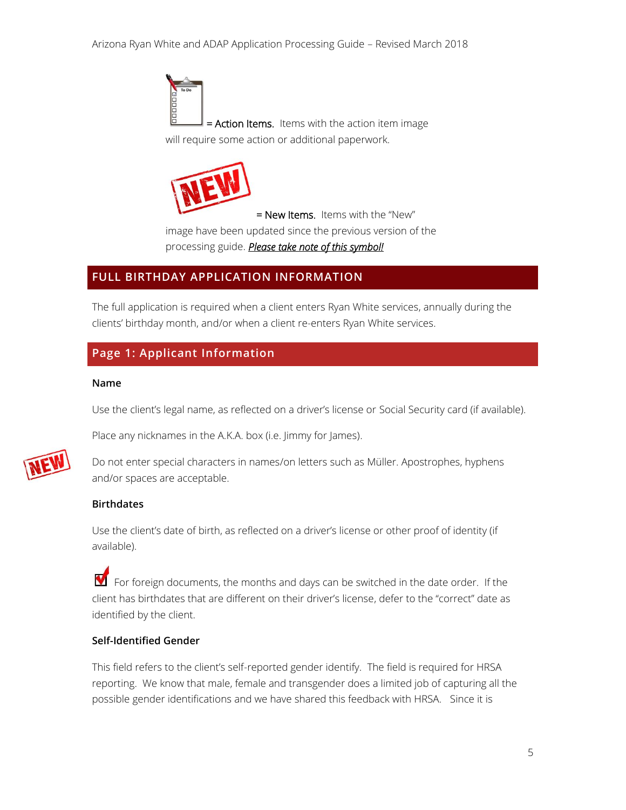= Action Items. Items with the action item image will require some action or additional paperwork.



= New Items. Items with the "New" image have been updated since the previous version of the processing guide. *Please take note of this symbol!*

## <span id="page-4-0"></span>**FULL BIRTHDAY APPLICATION INFORMATION**

The full application is required when a client enters Ryan White services, annually during the clients' birthday month, and/or when a client re-enters Ryan White services.

## <span id="page-4-1"></span>**Page 1: Applicant Information**

#### <span id="page-4-2"></span>**Name**

Use the client's legal name, as reflected on a driver's license or Social Security card (if available).



Place any nicknames in the A.K.A. box (i.e. Jimmy for James).

Do not enter special characters in names/on letters such as Müller. Apostrophes, hyphens and/or spaces are acceptable.

#### <span id="page-4-3"></span>**Birthdates**

Use the client's date of birth, as reflected on a driver's license or other proof of identity (if available).

 $\blacksquare$  For foreign documents, the months and days can be switched in the date order. If the client has birthdates that are different on their driver's license, defer to the "correct" date as identified by the client.

#### <span id="page-4-4"></span>**Self-Identified Gender**

This field refers to the client's self-reported gender identify. The field is required for HRSA reporting. We know that male, female and transgender does a limited job of capturing all the possible gender identifications and we have shared this feedback with HRSA. Since it is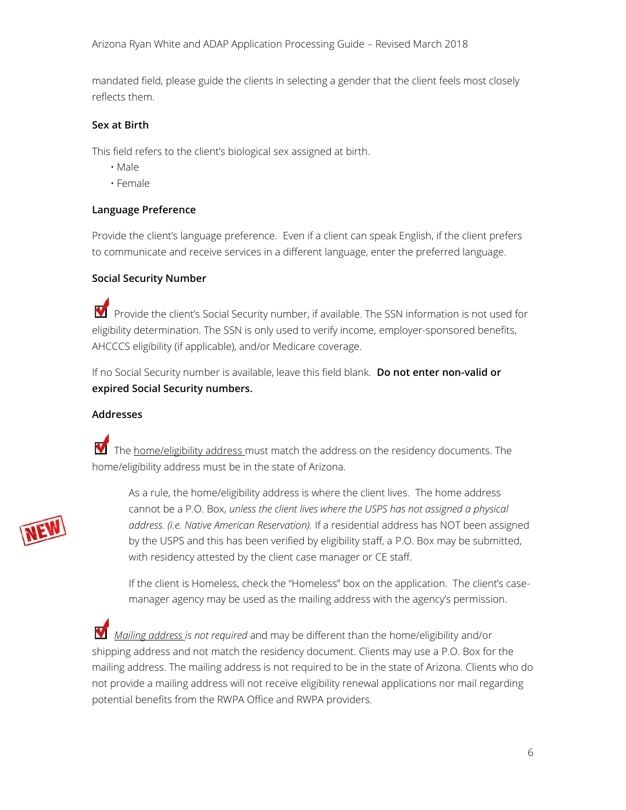mandated field, please guide the clients in selecting a gender that the client feels most closely reflects them.

#### <span id="page-5-0"></span>**Sex at Birth**

This field refers to the client's biological sex assigned at birth.

- Male
- Female

#### <span id="page-5-1"></span>**Language Preference**

Provide the client's language preference. Even if a client can speak English, if the client prefers to communicate and receive services in a different language, enter the preferred language.

#### <span id="page-5-2"></span>**Social Security Number**

 $\blacksquare$  Provide the client's Social Security number, if available. The SSN information is not used for eligibility determination. The SSN is only used to verify income, employer-sponsored benefits, AHCCCS eligibility (if applicable), and/or Medicare coverage.

If no Social Security number is available, leave this field blank. **Do not enter non-valid or expired Social Security numbers.**

#### <span id="page-5-3"></span>**Addresses**

The home/eligibility address must match the address on the residency documents. The home/eligibility address must be in the state of Arizona.



As a rule, the home/eligibility address is where the client lives. The home address cannot be a P.O. Box, *unless the client lives where the USPS has not assigned a physical address. (i.e. Native American Reservation).* If a residential address has NOT been assigned by the USPS and this has been verified by eligibility staff, a P.O. Box may be submitted, with residency attested by the client case manager or CE staff.

If the client is Homeless, check the "Homeless" box on the application. The client's casemanager agency may be used as the mailing address with the agency's permission.

 *Mailing address is not required* and may be different than the home/eligibility and/or shipping address and not match the residency document. Clients may use a P.O. Box for the mailing address. The mailing address is not required to be in the state of Arizona. Clients who do not provide a mailing address will not receive eligibility renewal applications nor mail regarding potential benefits from the RWPA Office and RWPA providers.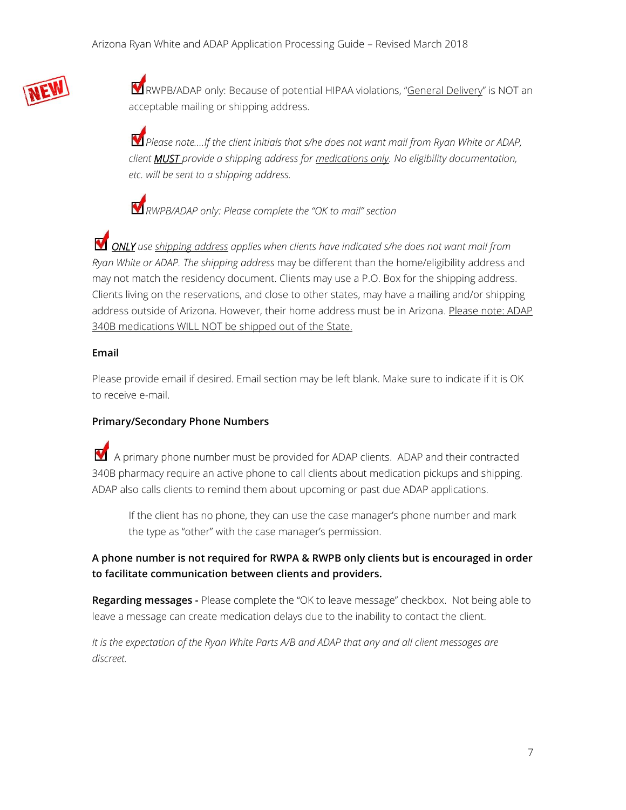

RWPB/ADAP only: Because of potential HIPAA violations, "General Delivery" is NOT an acceptable mailing or shipping address.

*Please note….If the client initials that s/he does not want mail from Ryan White or ADAP, client MUST provide a shipping address for medications only. No eligibility documentation, etc. will be sent to a shipping address.* 

*RWPB/ADAP only: Please complete the "OK to mail" section*

*ONLY use shipping address applies when clients have indicated s/he does not want mail from Ryan White or ADAP. The shipping address* may be different than the home/eligibility address and may not match the residency document. Clients may use a P.O. Box for the shipping address. Clients living on the reservations, and close to other states, may have a mailing and/or shipping address outside of Arizona. However, their home address must be in Arizona. Please note: ADAP 340B medications WILL NOT be shipped out of the State.

#### <span id="page-6-0"></span>**Email**

Please provide email if desired. Email section may be left blank. Make sure to indicate if it is OK to receive e-mail.

#### <span id="page-6-1"></span>**Primary/Secondary Phone Numbers**

 $\blacksquare$  A primary phone number must be provided for ADAP clients. ADAP and their contracted 340B pharmacy require an active phone to call clients about medication pickups and shipping. ADAP also calls clients to remind them about upcoming or past due ADAP applications.

If the client has no phone, they can use the case manager's phone number and mark the type as "other" with the case manager's permission.

## **A phone number is not required for RWPA & RWPB only clients but is encouraged in order to facilitate communication between clients and providers.**

**Regarding messages -** Please complete the "OK to leave message" checkbox. Not being able to leave a message can create medication delays due to the inability to contact the client.

*It is the expectation of the Ryan White Parts A/B and ADAP that any and all client messages are discreet.*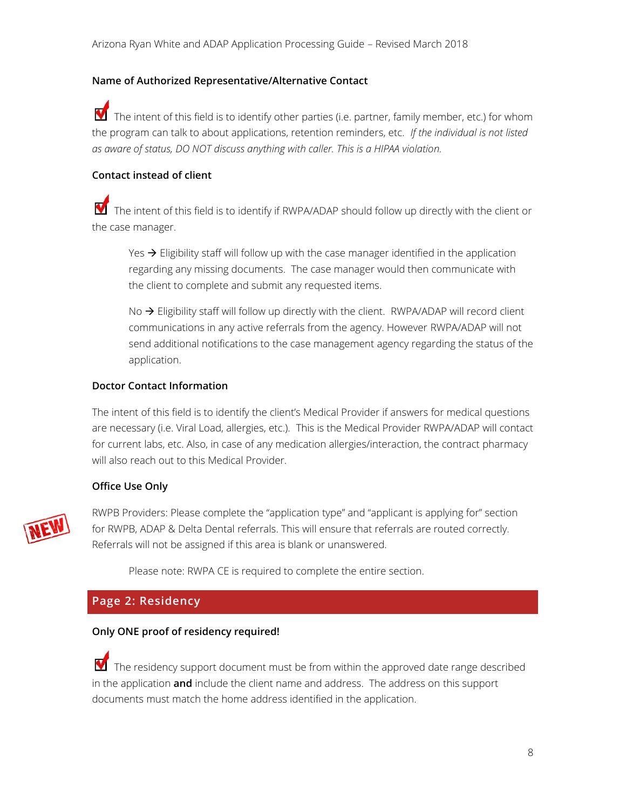#### <span id="page-7-0"></span>**Name of Authorized Representative/Alternative Contact**

 $\blacksquare$  The intent of this field is to identify other parties (i.e. partner, family member, etc.) for whom the program can talk to about applications, retention reminders, etc. *If the individual is not listed as aware of status, DO NOT discuss anything with caller. This is a HIPAA violation.* 

#### <span id="page-7-1"></span>**Contact instead of client**

The intent of this field is to identify if RWPA/ADAP should follow up directly with the client or the case manager.

Yes  $\rightarrow$  Eligibility staff will follow up with the case manager identified in the application regarding any missing documents. The case manager would then communicate with the client to complete and submit any requested items.

No  $\rightarrow$  Eligibility staff will follow up directly with the client. RWPA/ADAP will record client communications in any active referrals from the agency. However RWPA/ADAP will not send additional notifications to the case management agency regarding the status of the application.

#### <span id="page-7-2"></span>**Doctor Contact Information**

The intent of this field is to identify the client's Medical Provider if answers for medical questions are necessary (i.e. Viral Load, allergies, etc.). This is the Medical Provider RWPA/ADAP will contact for current labs, etc. Also, in case of any medication allergies/interaction, the contract pharmacy will also reach out to this Medical Provider.

#### <span id="page-7-3"></span>**Office Use Only**



RWPB Providers: Please complete the "application type" and "applicant is applying for" section for RWPB, ADAP & Delta Dental referrals. This will ensure that referrals are routed correctly. Referrals will not be assigned if this area is blank or unanswered.

Please note: RWPA CE is required to complete the entire section.

## <span id="page-7-4"></span>**Page 2: Residency**

#### **Only ONE proof of residency required!**

The residency support document must be from within the approved date range described in the application **and** include the client name and address. The address on this support documents must match the home address identified in the application.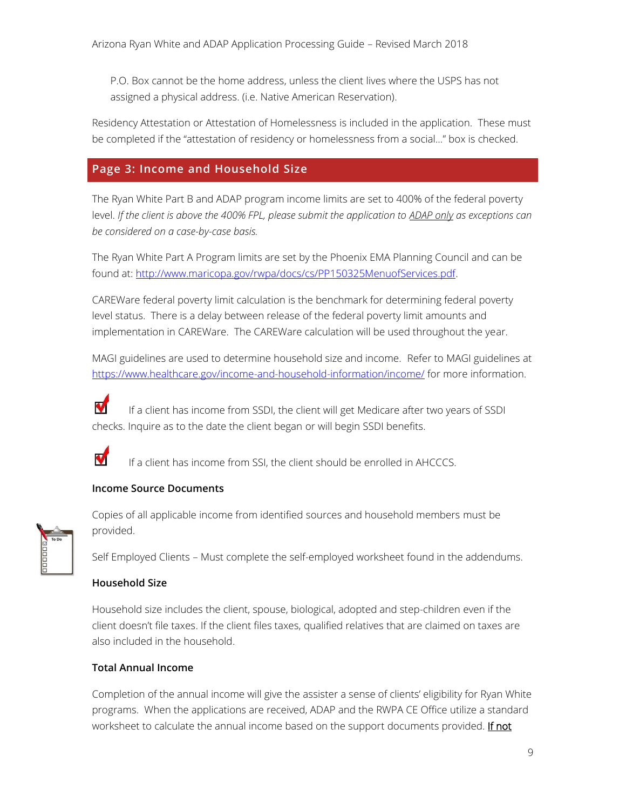P.O. Box cannot be the home address, unless the client lives where the USPS has not assigned a physical address. (i.e. Native American Reservation).

Residency Attestation or Attestation of Homelessness is included in the application. These must be completed if the "attestation of residency or homelessness from a social…" box is checked.

## <span id="page-8-0"></span>**Page 3: Income and Household Size**

The Ryan White Part B and ADAP program income limits are set to 400% of the federal poverty level. *If the client is above the 400% FPL, please submit the application to ADAP only as exceptions can be considered on a case-by-case basis.* 

The Ryan White Part A Program limits are set by the Phoenix EMA Planning Council and can be found at: [http://www.maricopa.gov/rwpa/docs/cs/PP150325MenuofServices.pdf.](http://www.maricopa.gov/rwpa/docs/cs/PP150325MenuofServices.pdf)

CAREWare federal poverty limit calculation is the benchmark for determining federal poverty level status. There is a delay between release of the federal poverty limit amounts and implementation in CAREWare. The CAREWare calculation will be used throughout the year.

MAGI guidelines are used to determine household size and income. Refer to MAGI guidelines at <https://www.healthcare.gov/income-and-household-information/income/> for more information.

V If a client has income from SSDI, the client will get Medicare after two years of SSDI checks. Inquire as to the date the client began or will begin SSDI benefits.



If a client has income from SSI, the client should be enrolled in AHCCCS.

#### <span id="page-8-1"></span>**Income Source Documents**



Copies of all applicable income from identified sources and household members must be provided.

Self Employed Clients – Must complete the self-employed worksheet found in the addendums.

#### <span id="page-8-2"></span>**Household Size**

Household size includes the client, spouse, biological, adopted and step-children even if the client doesn't file taxes. If the client files taxes, qualified relatives that are claimed on taxes are also included in the household.

#### <span id="page-8-3"></span>**Total Annual Income**

Completion of the annual income will give the assister a sense of clients' eligibility for Ryan White programs. When the applications are received, ADAP and the RWPA CE Office utilize a standard worksheet to calculate the annual income based on the support documents provided. If not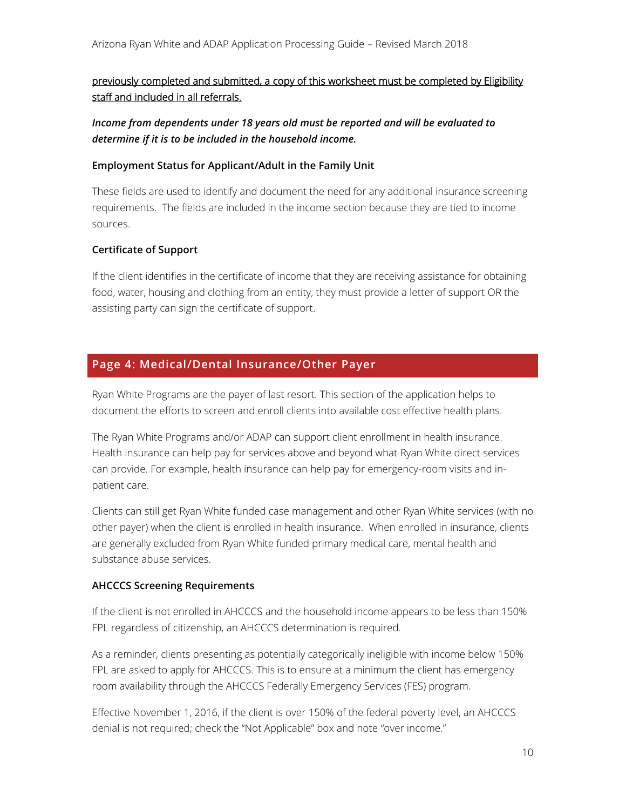## previously completed and submitted, a copy of this worksheet must be completed by Eligibility staff and included in all referrals.

*Income from dependents under 18 years old must be reported and will be evaluated to determine if it is to be included in the household income.*

#### <span id="page-9-0"></span>**Employment Status for Applicant/Adult in the Family Unit**

These fields are used to identify and document the need for any additional insurance screening requirements. The fields are included in the income section because they are tied to income sources.

## <span id="page-9-1"></span>**Certificate of Support**

If the client identifies in the certificate of income that they are receiving assistance for obtaining food, water, housing and clothing from an entity, they must provide a letter of support OR the assisting party can sign the certificate of support.

## <span id="page-9-2"></span>**Page 4: Medical/Dental Insurance/Other Payer**

Ryan White Programs are the payer of last resort. This section of the application helps to document the efforts to screen and enroll clients into available cost effective health plans.

The Ryan White Programs and/or ADAP can support client enrollment in health insurance. Health insurance can help pay for services above and beyond what Ryan White direct services can provide. For example, health insurance can help pay for emergency-room visits and inpatient care.

Clients can still get Ryan White funded case management and other Ryan White services (with no other payer) when the client is enrolled in health insurance. When enrolled in insurance, clients are generally excluded from Ryan White funded primary medical care, mental health and substance abuse services.

#### <span id="page-9-3"></span>**AHCCCS Screening Requirements**

If the client is not enrolled in AHCCCS and the household income appears to be less than 150% FPL regardless of citizenship, an AHCCCS determination is required.

As a reminder, clients presenting as potentially categorically ineligible with income below 150% FPL are asked to apply for AHCCCS. This is to ensure at a minimum the client has emergency room availability through the AHCCCS Federally Emergency Services (FES) program.

Effective November 1, 2016, if the client is over 150% of the federal poverty level, an AHCCCS denial is not required; check the "Not Applicable" box and note "over income."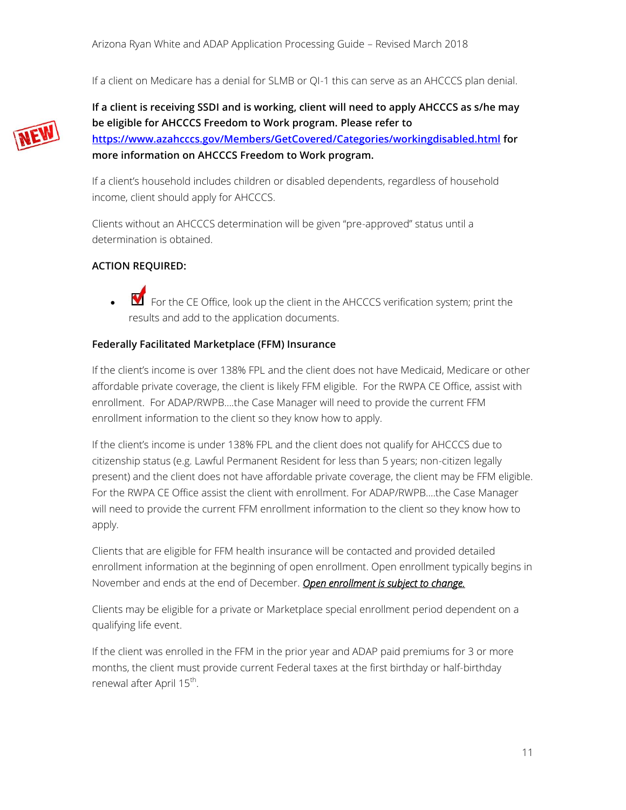If a client on Medicare has a denial for SLMB or QI-1 this can serve as an AHCCCS plan denial.



**If a client is receiving SSDI and is working, client will need to apply AHCCCS as s/he may be eligible for AHCCCS Freedom to Work program. Please refer to <https://www.azahcccs.gov/Members/GetCovered/Categories/workingdisabled.html> for more information on AHCCCS Freedom to Work program.** 

If a client's household includes children or disabled dependents, regardless of household income, client should apply for AHCCCS.

Clients without an AHCCCS determination will be given "pre-approved" status until a determination is obtained.

#### **ACTION REQUIRED:**

For the CE Office, look up the client in the AHCCCS verification system; print the results and add to the application documents.

#### <span id="page-10-0"></span>**Federally Facilitated Marketplace (FFM) Insurance**

If the client's income is over 138% FPL and the client does not have Medicaid, Medicare or other affordable private coverage, the client is likely FFM eligible. For the RWPA CE Office, assist with enrollment. For ADAP/RWPB….the Case Manager will need to provide the current FFM enrollment information to the client so they know how to apply.

If the client's income is under 138% FPL and the client does not qualify for AHCCCS due to citizenship status (e.g. Lawful Permanent Resident for less than 5 years; non-citizen legally present) and the client does not have affordable private coverage, the client may be FFM eligible. For the RWPA CE Office assist the client with enrollment. For ADAP/RWPB….the Case Manager will need to provide the current FFM enrollment information to the client so they know how to apply.

Clients that are eligible for FFM health insurance will be contacted and provided detailed enrollment information at the beginning of open enrollment. Open enrollment typically begins in November and ends at the end of December. *Open enrollment is subject to change.*

Clients may be eligible for a private or Marketplace special enrollment period dependent on a qualifying life event.

If the client was enrolled in the FFM in the prior year and ADAP paid premiums for 3 or more months, the client must provide current Federal taxes at the first birthday or half-birthday renewal after April 15<sup>th</sup>.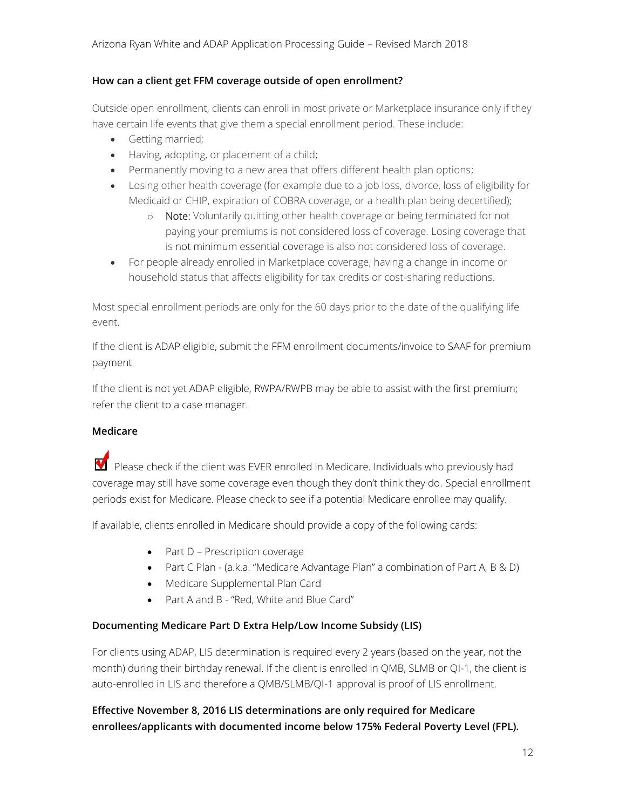#### <span id="page-11-0"></span>**How can a client get FFM coverage outside of open enrollment?**

Outside open enrollment, clients can enroll in most private or Marketplace insurance only if they have certain life events that give them a special enrollment period. These include:

- Getting married;
- Having, adopting, or placement of a child;
- Permanently moving to a new area that offers different health plan options:
- Losing other health coverage (for example due to a job loss, divorce, loss of eligibility for Medicaid or CHIP, expiration of COBRA coverage, or a health plan being decertified);
	- o Note: Voluntarily quitting other health coverage or being terminated for not paying your premiums is not considered loss of coverage. Losing coverage that is not [minimum essential coverage](https://www.healthcare.gov/glossary/minimum-essential-coverage) is also not considered loss of coverage.
- For people already enrolled in Marketplace coverage, having a change in income or household status that affects eligibility for tax credits or cost-sharing reductions.

Most special enrollment periods are only for the 60 days prior to the date of the qualifying life event.

If the client is ADAP eligible, submit the FFM enrollment documents/invoice to SAAF for premium payment

If the client is not yet ADAP eligible, RWPA/RWPB may be able to assist with the first premium; refer the client to a case manager.

#### <span id="page-11-1"></span>**Medicare**

 $\blacksquare$  Please check if the client was EVER enrolled in Medicare. Individuals who previously had coverage may still have some coverage even though they don't think they do. Special enrollment periods exist for Medicare. Please check to see if a potential Medicare enrollee may qualify.

If available, clients enrolled in Medicare should provide a copy of the following cards:

- Part D Prescription coverage
- Part C Plan (a.k.a. "Medicare Advantage Plan" a combination of Part A, B & D)
- Medicare Supplemental Plan Card
- Part A and B "Red, White and Blue Card"

#### **Documenting Medicare Part D Extra Help/Low Income Subsidy (LIS)**

For clients using ADAP, LIS determination is required every 2 years (based on the year, not the month) during their birthday renewal. If the client is enrolled in QMB, SLMB or QI-1, the client is auto-enrolled in LIS and therefore a QMB/SLMB/QI-1 approval is proof of LIS enrollment.

## **Effective November 8, 2016 LIS determinations are only required for Medicare enrollees/applicants with documented income below 175% Federal Poverty Level (FPL).**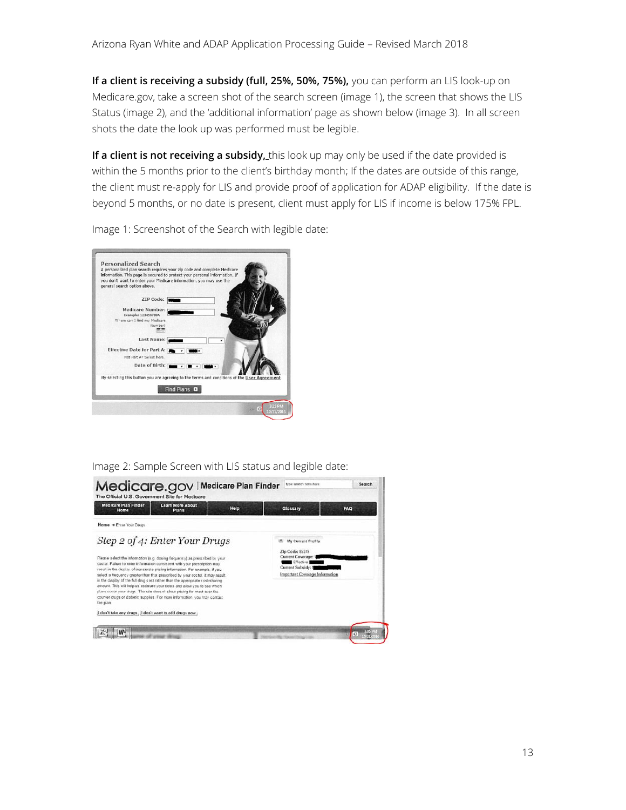**If a client is receiving a subsidy (full, 25%, 50%, 75%),** you can perform an LIS look-up on Medicare.gov, take a screen shot of the search screen (image 1), the screen that shows the LIS Status (image 2), and the 'additional information' page as shown below (image 3). In all screen shots the date the look up was performed must be legible.

If a client is not receiving a subsidy, this look up may only be used if the date provided is within the 5 months prior to the client's birthday month; If the dates are outside of this range, the client must re-apply for LIS and provide proof of application for ADAP eligibility. If the date is beyond 5 months, or no date is present, client must apply for LIS if income is below 175% FPL.



Image 1: Screenshot of the Search with legible date:

Image 2: Sample Screen with LIS status and legible date:

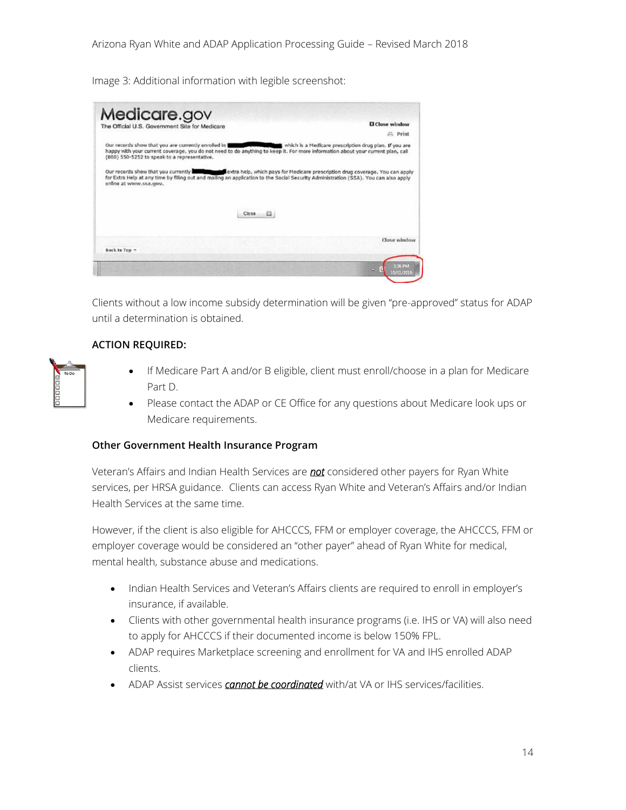Image 3: Additional information with legible screenshot:

| Medicare.gov                                                                                          |                                                                                                                                                                                                                                                                     | El Close window                                        |
|-------------------------------------------------------------------------------------------------------|---------------------------------------------------------------------------------------------------------------------------------------------------------------------------------------------------------------------------------------------------------------------|--------------------------------------------------------|
| The Official U.S. Government Site for Medicare                                                        |                                                                                                                                                                                                                                                                     | $E1$ Print                                             |
|                                                                                                       |                                                                                                                                                                                                                                                                     |                                                        |
| Our records show that you are currently enrolled in 1<br>(868) 550-5252 to speak to a representative. | happy with your current coverage, you do not need to do anything to keep it. For more information about your current plan, call                                                                                                                                     | which is a Medicare prescription drug plan. If you are |
|                                                                                                       | Our records show that you currently with the lextra help, which pays for Medicare prescription drug coverage. You can apply<br>for Extra Help at any time by filling out and mailing an application to the Social Security Administration (SSA). You can also apply |                                                        |
| online at www.ssa.gov.                                                                                |                                                                                                                                                                                                                                                                     |                                                        |
|                                                                                                       |                                                                                                                                                                                                                                                                     |                                                        |
|                                                                                                       | $\Box$<br>Close                                                                                                                                                                                                                                                     |                                                        |
|                                                                                                       |                                                                                                                                                                                                                                                                     |                                                        |
|                                                                                                       |                                                                                                                                                                                                                                                                     |                                                        |
|                                                                                                       |                                                                                                                                                                                                                                                                     |                                                        |
|                                                                                                       |                                                                                                                                                                                                                                                                     |                                                        |
| Back to Top -                                                                                         |                                                                                                                                                                                                                                                                     | Close window                                           |

Clients without a low income subsidy determination will be given "pre-approved" status for ADAP until a determination is obtained.

#### **ACTION REQUIRED:**

- If Medicare Part A and/or B eligible, client must enroll/choose in a plan for Medicare Part D.
- Please contact the ADAP or CE Office for any questions about Medicare look ups or Medicare requirements.

#### <span id="page-13-0"></span>**Other Government Health Insurance Program**

Veteran's Affairs and Indian Health Services are *not* considered other payers for Ryan White services, per HRSA guidance. Clients can access Ryan White and Veteran's Affairs and/or Indian Health Services at the same time.

However, if the client is also eligible for AHCCCS, FFM or employer coverage, the AHCCCS, FFM or employer coverage would be considered an "other payer" ahead of Ryan White for medical, mental health, substance abuse and medications.

- Indian Health Services and Veteran's Affairs clients are required to enroll in employer's insurance, if available.
- Clients with other governmental health insurance programs (i.e. IHS or VA) will also need to apply for AHCCCS if their documented income is below 150% FPL.
- ADAP requires Marketplace screening and enrollment for VA and IHS enrolled ADAP clients.
- ADAP Assist services *cannot be coordinated* with/at VA or IHS services/facilities.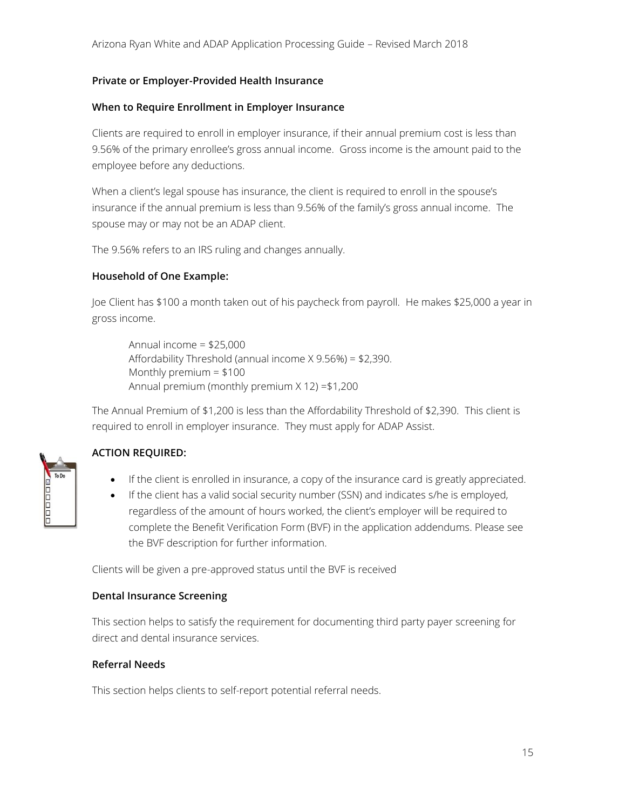#### <span id="page-14-0"></span>**Private or Employer-Provided Health Insurance**

#### **When to Require Enrollment in Employer Insurance**

Clients are required to enroll in employer insurance, if their annual premium cost is less than 9.56% of the primary enrollee's gross annual income. Gross income is the amount paid to the employee before any deductions.

When a client's legal spouse has insurance, the client is required to enroll in the spouse's insurance if the annual premium is less than 9.56% of the family's gross annual income. The spouse may or may not be an ADAP client.

The 9.56% refers to an IRS ruling and changes annually.

#### **Household of One Example:**

Joe Client has \$100 a month taken out of his paycheck from payroll. He makes \$25,000 a year in gross income.

Annual income = \$25,000 Affordability Threshold (annual income X 9.56%) = \$2,390. Monthly premium = \$100 Annual premium (monthly premium X 12) =\$1,200

The Annual Premium of \$1,200 is less than the Affordability Threshold of \$2,390. This client is required to enroll in employer insurance. They must apply for ADAP Assist.

#### **ACTION REQUIRED:**

30000L

- If the client is enrolled in insurance, a copy of the insurance card is greatly appreciated.
- If the client has a valid social security number (SSN) and indicates s/he is employed, regardless of the amount of hours worked, the client's employer will be required to complete the Benefit Verification Form (BVF) in the application addendums. Please see the BVF description for further information.

Clients will be given a pre-approved status until the BVF is received

#### <span id="page-14-1"></span>**Dental Insurance Screening**

This section helps to satisfy the requirement for documenting third party payer screening for direct and dental insurance services.

#### <span id="page-14-2"></span>**Referral Needs**

This section helps clients to self-report potential referral needs.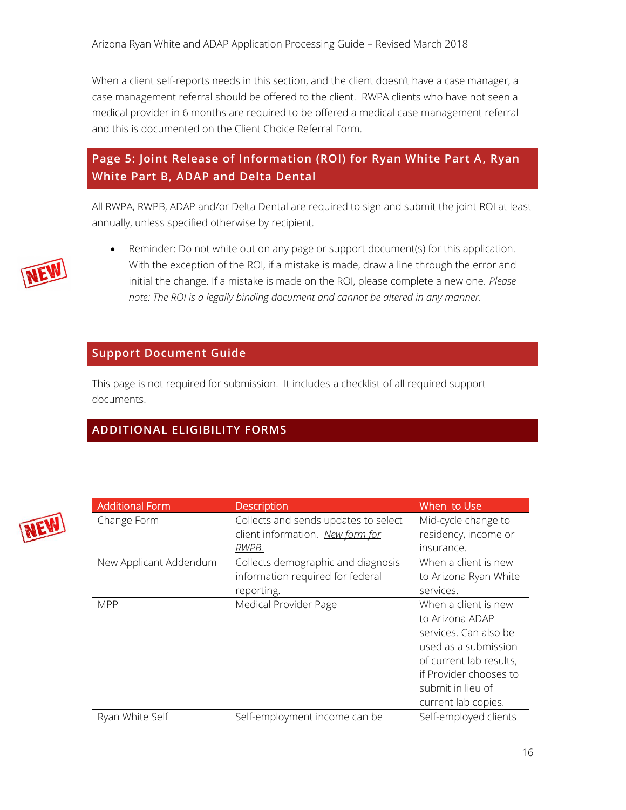When a client self-reports needs in this section, and the client doesn't have a case manager, a case management referral should be offered to the client. RWPA clients who have not seen a medical provider in 6 months are required to be offered a medical case management referral and this is documented on the Client Choice Referral Form.

## <span id="page-15-0"></span>**Page 5: Joint Release of Information (ROI) for Ryan White Part A, Ryan White Part B, ADAP and Delta Dental**

All RWPA, RWPB, ADAP and/or Delta Dental are required to sign and submit the joint ROI at least annually, unless specified otherwise by recipient.



 Reminder: Do not white out on any page or support document(s) for this application. With the exception of the ROI, if a mistake is made, draw a line through the error and initial the change. If a mistake is made on the ROI, please complete a new one. *Please note: The ROI is a legally binding document and cannot be altered in any manner.*

## <span id="page-15-1"></span>**Support Document Guide**

This page is not required for submission. It includes a checklist of all required support documents.

## <span id="page-15-2"></span>**ADDITIONAL ELIGIBILITY FORMS**



| <b>Additional Form</b> | <b>Description</b>                   | When to Use             |
|------------------------|--------------------------------------|-------------------------|
| Change Form            | Collects and sends updates to select | Mid-cycle change to     |
|                        | client information. New form for     | residency, income or    |
|                        | RWPB.                                | insurance.              |
| New Applicant Addendum | Collects demographic and diagnosis   | When a client is new    |
|                        | information required for federal     | to Arizona Ryan White   |
|                        | reporting.                           | services.               |
| <b>MPP</b>             | Medical Provider Page                | When a client is new    |
|                        |                                      | to Arizona ADAP         |
|                        |                                      | services. Can also be   |
|                        |                                      | used as a submission    |
|                        |                                      | of current lab results, |
|                        |                                      | if Provider chooses to  |
|                        |                                      | submit in lieu of       |
|                        |                                      | current lab copies.     |
| Ryan White Self        | Self-employment income can be        | Self-employed clients   |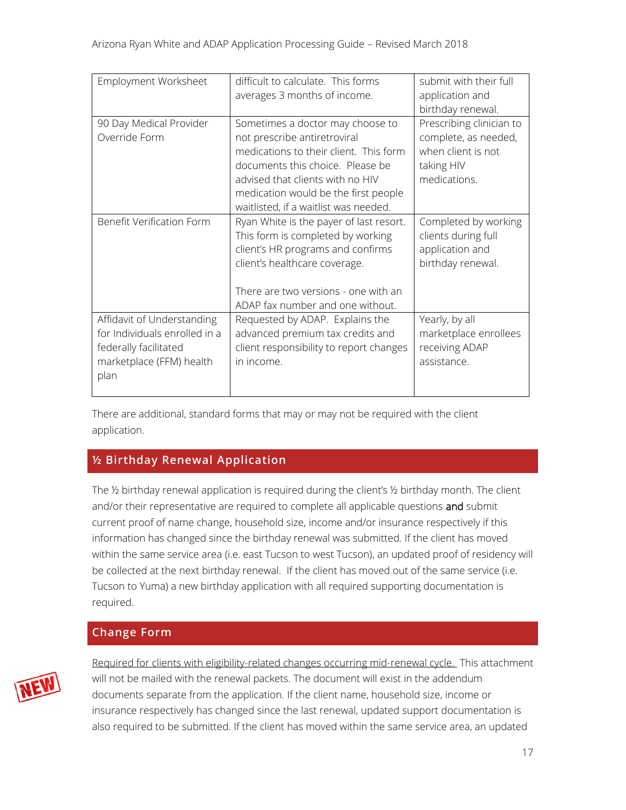| Employment Worksheet                                                                                                     | difficult to calculate. This forms<br>averages 3 months of income.                                                                                                                                                                                                  | submit with their full<br>application and<br>birthday renewal.                                       |
|--------------------------------------------------------------------------------------------------------------------------|---------------------------------------------------------------------------------------------------------------------------------------------------------------------------------------------------------------------------------------------------------------------|------------------------------------------------------------------------------------------------------|
| 90 Day Medical Provider<br>Override Form                                                                                 | Sometimes a doctor may choose to<br>not prescribe antiretroviral<br>medications to their client. This form<br>documents this choice. Please be<br>advised that clients with no HIV<br>medication would be the first people<br>waitlisted, if a waitlist was needed. | Prescribing clinician to<br>complete, as needed,<br>when client is not<br>taking HIV<br>medications. |
| Benefit Verification Form                                                                                                | Ryan White is the payer of last resort.<br>This form is completed by working<br>client's HR programs and confirms<br>client's healthcare coverage.<br>There are two versions - one with an<br>ADAP fax number and one without.                                      | Completed by working<br>clients during full<br>application and<br>birthday renewal.                  |
| Affidavit of Understanding<br>for Individuals enrolled in a<br>federally facilitated<br>marketplace (FFM) health<br>plan | Requested by ADAP. Explains the<br>advanced premium tax credits and<br>client responsibility to report changes<br>in income.                                                                                                                                        | Yearly, by all<br>marketplace enrollees<br>receiving ADAP<br>assistance.                             |

There are additional, standard forms that may or may not be required with the client application.

## <span id="page-16-0"></span>**½ Birthday Renewal Application**

The ½ birthday renewal application is required during the client's ½ birthday month. The client and/or their representative are required to complete all applicable questions and submit current proof of name change, household size, income and/or insurance respectively if this information has changed since the birthday renewal was submitted. If the client has moved within the same service area (i.e. east Tucson to west Tucson), an updated proof of residency will be collected at the next birthday renewal. If the client has moved out of the same service (i.e. Tucson to Yuma) a new birthday application with all required supporting documentation is required.

## <span id="page-16-1"></span>**Change Form**



Required for clients with eligibility-related changes occurring mid-renewal cycle. This attachment will not be mailed with the renewal packets. The document will exist in the addendum documents separate from the application. If the client name, household size, income or insurance respectively has changed since the last renewal, updated support documentation is also required to be submitted. If the client has moved within the same service area, an updated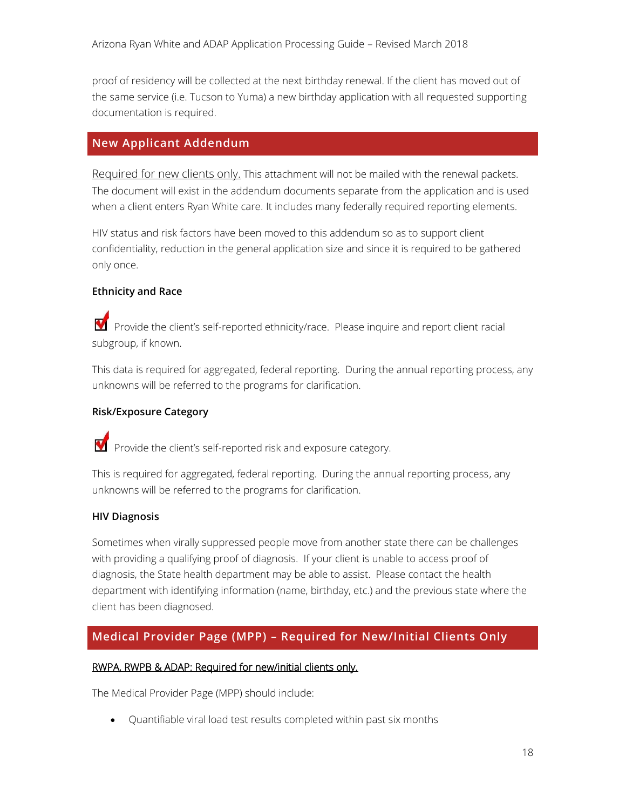proof of residency will be collected at the next birthday renewal. If the client has moved out of the same service (i.e. Tucson to Yuma) a new birthday application with all requested supporting documentation is required.

## <span id="page-17-0"></span>**New Applicant Addendum**

Required for new clients only. This attachment will not be mailed with the renewal packets. The document will exist in the addendum documents separate from the application and is used when a client enters Ryan White care. It includes many federally required reporting elements.

HIV status and risk factors have been moved to this addendum so as to support client confidentiality, reduction in the general application size and since it is required to be gathered only once.

#### <span id="page-17-1"></span>**Ethnicity and Race**

Provide the client's self-reported ethnicity/race. Please inquire and report client racial subgroup, if known.

This data is required for aggregated, federal reporting. During the annual reporting process, any unknowns will be referred to the programs for clarification.

#### <span id="page-17-2"></span>**Risk/Exposure Category**

Provide the client's self-reported risk and exposure category.

This is required for aggregated, federal reporting. During the annual reporting process, any unknowns will be referred to the programs for clarification.

#### <span id="page-17-3"></span>**HIV Diagnosis**

Sometimes when virally suppressed people move from another state there can be challenges with providing a qualifying proof of diagnosis. If your client is unable to access proof of diagnosis, the State health department may be able to assist. Please contact the health department with identifying information (name, birthday, etc.) and the previous state where the client has been diagnosed.

## <span id="page-17-4"></span>**Medical Provider Page (MPP) – Required for New/Initial Clients Only**

#### RWPA, RWPB & ADAP: Required for new/initial clients only.

The Medical Provider Page (MPP) should include:

Quantifiable viral load test results completed within past six months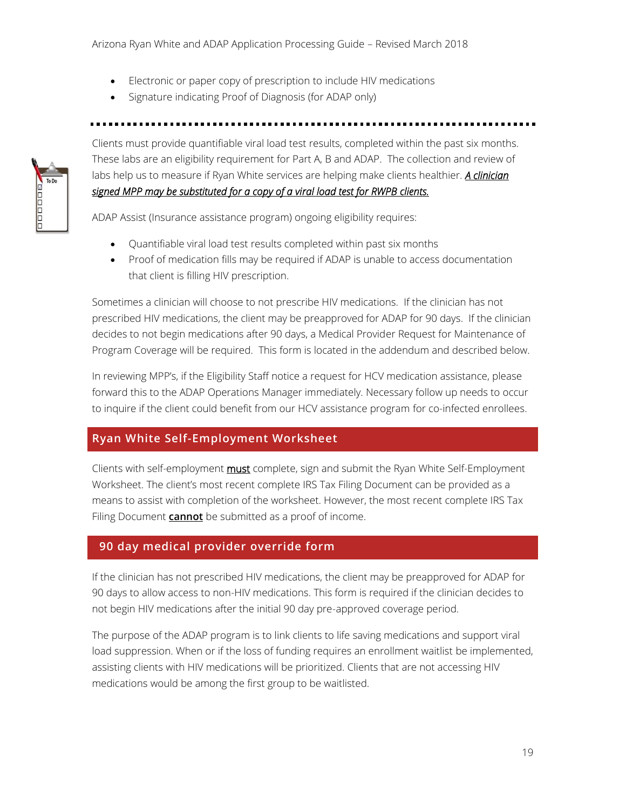- Electronic or paper copy of prescription to include HIV medications
- Signature indicating Proof of Diagnosis (for ADAP only)

Clients must provide quantifiable viral load test results, completed within the past six months. These labs are an eligibility requirement for Part A, B and ADAP. The collection and review of labs help us to measure if Ryan White services are helping make clients healthier. *A clinician signed MPP may be substituted for a copy of a viral load test for RWPB clients.* 

ADAP Assist (Insurance assistance program) ongoing eligibility requires:

- Quantifiable viral load test results completed within past six months
- Proof of medication fills may be required if ADAP is unable to access documentation that client is filling HIV prescription.

Sometimes a clinician will choose to not prescribe HIV medications. If the clinician has not prescribed HIV medications, the client may be preapproved for ADAP for 90 days. If the clinician decides to not begin medications after 90 days, a Medical Provider Request for Maintenance of Program Coverage will be required. This form is located in the addendum and described below.

In reviewing MPP's, if the Eligibility Staff notice a request for HCV medication assistance, please forward this to the ADAP Operations Manager immediately. Necessary follow up needs to occur to inquire if the client could benefit from our HCV assistance program for co-infected enrollees.

## <span id="page-18-0"></span>**Ryan White Self-Employment Worksheet**

Clients with self-employment **must** complete, sign and submit the Ryan White Self-Employment Worksheet. The client's most recent complete IRS Tax Filing Document can be provided as a means to assist with completion of the worksheet. However, the most recent complete IRS Tax Filing Document **cannot** be submitted as a proof of income.

## <span id="page-18-1"></span> **90 day medical provider override form**

If the clinician has not prescribed HIV medications, the client may be preapproved for ADAP for 90 days to allow access to non-HIV medications. This form is required if the clinician decides to not begin HIV medications after the initial 90 day pre-approved coverage period.

The purpose of the ADAP program is to link clients to life saving medications and support viral load suppression. When or if the loss of funding requires an enrollment waitlist be implemented, assisting clients with HIV medications will be prioritized. Clients that are not accessing HIV medications would be among the first group to be waitlisted.

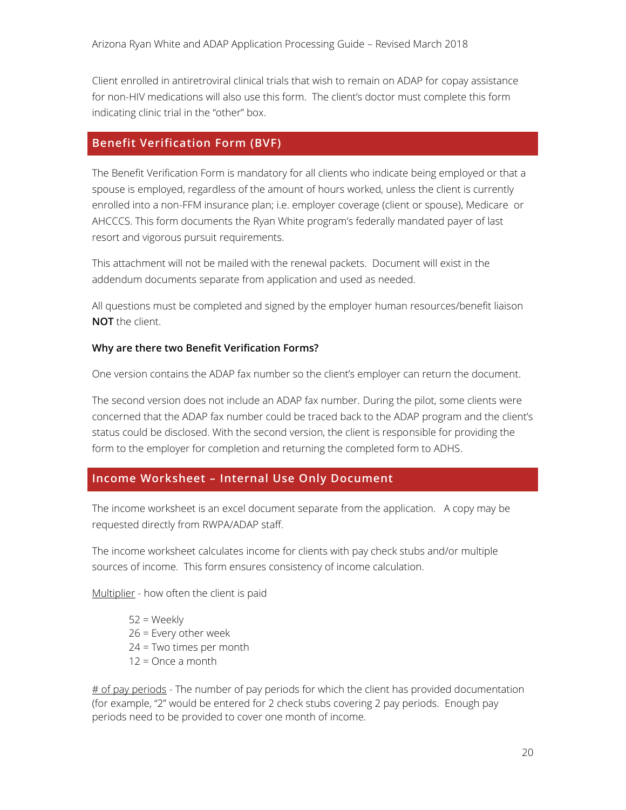Client enrolled in antiretroviral clinical trials that wish to remain on ADAP for copay assistance for non-HIV medications will also use this form. The client's doctor must complete this form indicating clinic trial in the "other" box.

## <span id="page-19-0"></span>**Benefit Verification Form (BVF)**

The Benefit Verification Form is mandatory for all clients who indicate being employed or that a spouse is employed, regardless of the amount of hours worked, unless the client is currently enrolled into a non-FFM insurance plan; i.e. employer coverage (client or spouse), Medicare or AHCCCS. This form documents the Ryan White program's federally mandated payer of last resort and vigorous pursuit requirements.

This attachment will not be mailed with the renewal packets. Document will exist in the addendum documents separate from application and used as needed.

All questions must be completed and signed by the employer human resources/benefit liaison **NOT** the client.

#### **Why are there two Benefit Verification Forms?**

One version contains the ADAP fax number so the client's employer can return the document.

The second version does not include an ADAP fax number. During the pilot, some clients were concerned that the ADAP fax number could be traced back to the ADAP program and the client's status could be disclosed. With the second version, the client is responsible for providing the form to the employer for completion and returning the completed form to ADHS.

## <span id="page-19-1"></span>**Income Worksheet – Internal Use Only Document**

The income worksheet is an excel document separate from the application. A copy may be requested directly from RWPA/ADAP staff.

The income worksheet calculates income for clients with pay check stubs and/or multiple sources of income. This form ensures consistency of income calculation.

Multiplier - how often the client is paid

 $52 = \text{Weekly}$  $26$  = Every other week 24 = Two times per month 12 = Once a month

 $#$  of pay periods - The number of pay periods for which the client has provided documentation (for example, "2" would be entered for 2 check stubs covering 2 pay periods. Enough pay periods need to be provided to cover one month of income.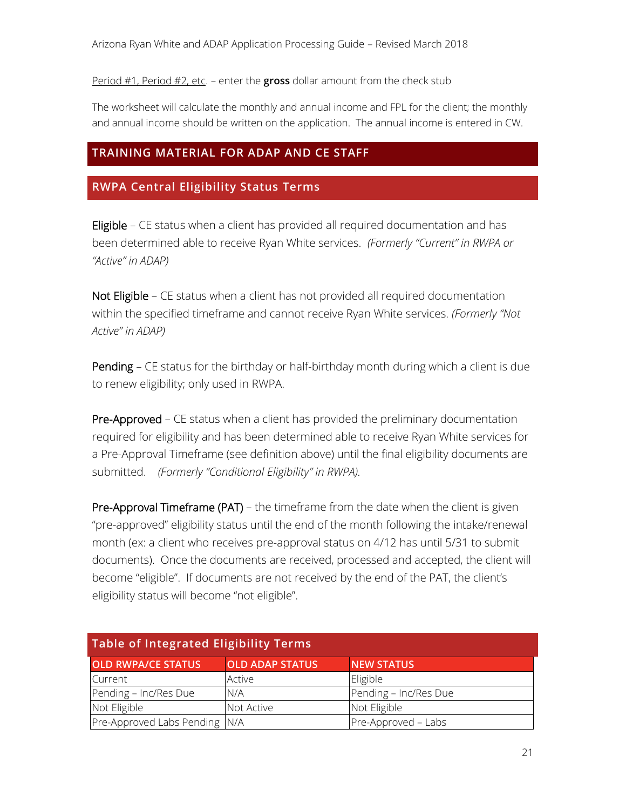Period #1, Period #2, etc. – enter the **gross** dollar amount from the check stub

The worksheet will calculate the monthly and annual income and FPL for the client; the monthly and annual income should be written on the application. The annual income is entered in CW.

## <span id="page-20-0"></span>**TRAINING MATERIAL FOR ADAP AND CE STAFF**

## <span id="page-20-1"></span>**RWPA Central Eligibility Status Terms**

Eligible – CE status when a client has provided all required documentation and has been determined able to receive Ryan White services. *(Formerly "Current" in RWPA or "Active" in ADAP)*

Not Eligible - CE status when a client has not provided all required documentation within the specified timeframe and cannot receive Ryan White services. *(Formerly "Not Active" in ADAP)*

Pending – CE status for the birthday or half-birthday month during which a client is due to renew eligibility; only used in RWPA.

Pre-Approved – CE status when a client has provided the preliminary documentation required for eligibility and has been determined able to receive Ryan White services for a Pre-Approval Timeframe (see definition above) until the final eligibility documents are submitted. *(Formerly "Conditional Eligibility" in RWPA).* 

Pre-Approval Timeframe (PAT) – the timeframe from the date when the client is given "pre-approved" eligibility status until the end of the month following the intake/renewal month (ex: a client who receives pre-approval status on 4/12 has until 5/31 to submit documents). Once the documents are received, processed and accepted, the client will become "eligible". If documents are not received by the end of the PAT, the client's eligibility status will become "not eligible".

<span id="page-20-2"></span>

| Table of Integrated Eligibility Terms |                        |                       |
|---------------------------------------|------------------------|-----------------------|
| <b>OLD RWPA/CE STATUS</b>             | <b>OLD ADAP STATUS</b> | <b>NEW STATUS</b>     |
| Current                               | Active                 | Eligible              |
| Pending - Inc/Res Due                 | N/A                    | Pending - Inc/Res Due |
| Not Eligible                          | Not Active             | Not Eligible          |
| Pre-Approved Labs Pending N/A         |                        | Pre-Approved - Labs   |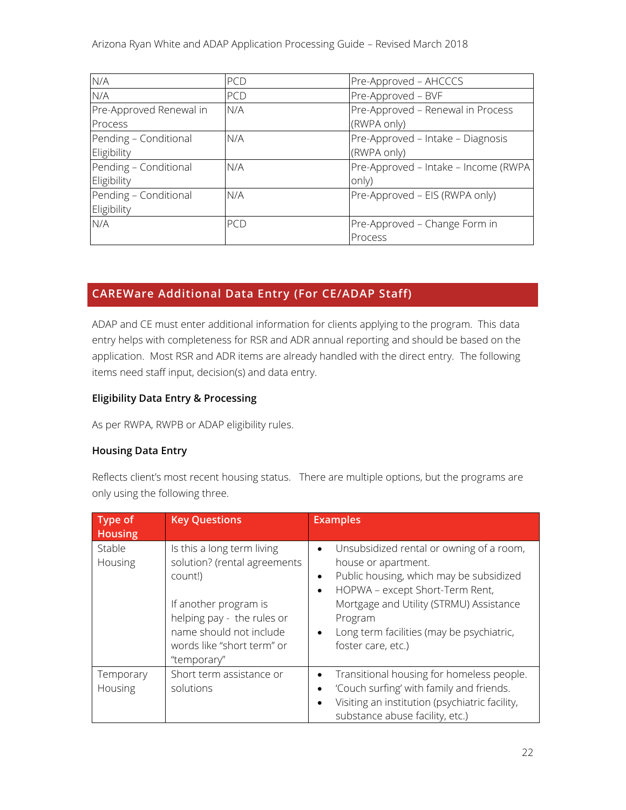| N/A                     | PCD | Pre-Approved - AHCCCS                |
|-------------------------|-----|--------------------------------------|
| N/A                     | PCD | Pre-Approved - BVF                   |
| Pre-Approved Renewal in | N/A | Pre-Approved - Renewal in Process    |
| Process                 |     | (RWPA only)                          |
| Pending - Conditional   | N/A | Pre-Approved - Intake - Diagnosis    |
| Eligibility             |     | (RWPA only)                          |
| Pending - Conditional   | N/A | Pre-Approved - Intake - Income (RWPA |
| Eligibility             |     | only)                                |
| Pending - Conditional   | N/A | Pre-Approved – EIS (RWPA only)       |
| Eligibility             |     |                                      |
| N/A                     | PCD | Pre-Approved - Change Form in        |
|                         |     | Process                              |

## <span id="page-21-0"></span>**CAREWare Additional Data Entry (For CE/ADAP Staff)**

ADAP and CE must enter additional information for clients applying to the program. This data entry helps with completeness for RSR and ADR annual reporting and should be based on the application. Most RSR and ADR items are already handled with the direct entry. The following items need staff input, decision(s) and data entry.

#### <span id="page-21-1"></span>**Eligibility Data Entry & Processing**

As per RWPA, RWPB or ADAP eligibility rules.

#### <span id="page-21-2"></span>**Housing Data Entry**

Reflects client's most recent housing status. There are multiple options, but the programs are only using the following three.

| Type of<br><b>Housing</b> | <b>Key Questions</b>                                                                                                                                                                                 | <b>Examples</b>                                                                                                                                                                                                                                                                                                            |
|---------------------------|------------------------------------------------------------------------------------------------------------------------------------------------------------------------------------------------------|----------------------------------------------------------------------------------------------------------------------------------------------------------------------------------------------------------------------------------------------------------------------------------------------------------------------------|
| Stable<br>Housing         | Is this a long term living<br>solution? (rental agreements<br>count!)<br>If another program is<br>helping pay - the rules or<br>name should not include<br>words like "short term" or<br>"temporary" | Unsubsidized rental or owning of a room,<br>$\bullet$<br>house or apartment.<br>Public housing, which may be subsidized<br>$\bullet$<br>HOPWA - except Short-Term Rent,<br>$\bullet$<br>Mortgage and Utility (STRMU) Assistance<br>Program<br>Long term facilities (may be psychiatric,<br>$\bullet$<br>foster care, etc.) |
| Temporary<br>Housing      | Short term assistance or<br>solutions                                                                                                                                                                | Transitional housing for homeless people.<br>'Couch surfing' with family and friends.<br>٠<br>Visiting an institution (psychiatric facility,<br>substance abuse facility, etc.)                                                                                                                                            |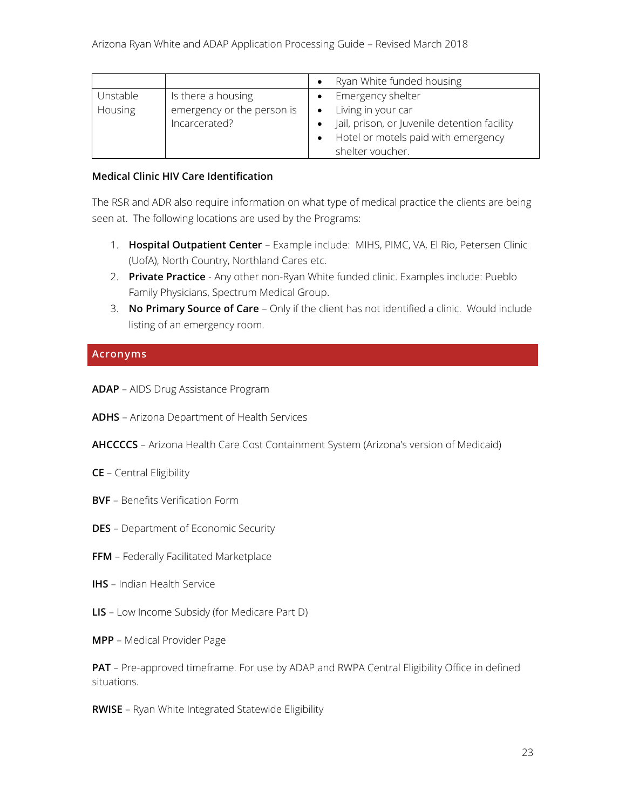|                |                            | Ryan White funded housing                    |
|----------------|----------------------------|----------------------------------------------|
| Unstable       | Is there a housing         | Emergency shelter                            |
| <b>Housing</b> | emergency or the person is | Living in your car                           |
|                | Incarcerated?              | Jail, prison, or Juvenile detention facility |
|                |                            | Hotel or motels paid with emergency          |
|                |                            | shelter voucher.                             |

#### <span id="page-22-0"></span>**Medical Clinic HIV Care Identification**

The RSR and ADR also require information on what type of medical practice the clients are being seen at. The following locations are used by the Programs:

- 1. **Hospital Outpatient Center** Example include: MIHS, PIMC, VA, El Rio, Petersen Clinic (UofA), North Country, Northland Cares etc.
- 2. **Private Practice** Any other non-Ryan White funded clinic. Examples include: Pueblo Family Physicians, Spectrum Medical Group.
- 3. **No Primary Source of Care** Only if the client has not identified a clinic. Would include listing of an emergency room.

#### <span id="page-22-1"></span>**Acronyms**

- **ADAP** AIDS Drug Assistance Program
- **ADHS** Arizona Department of Health Services
- **AHCCCCS** Arizona Health Care Cost Containment System (Arizona's version of Medicaid)
- **CE**  Central Eligibility
- **BVF** Benefits Verification Form
- **DES** Department of Economic Security
- **FFM** Federally Facilitated Marketplace
- **IHS** Indian Health Service
- **LIS** Low Income Subsidy (for Medicare Part D)
- **MPP** Medical Provider Page

**PAT** – Pre-approved timeframe. For use by ADAP and RWPA Central Eligibility Office in defined situations.

**RWISE** – Ryan White Integrated Statewide Eligibility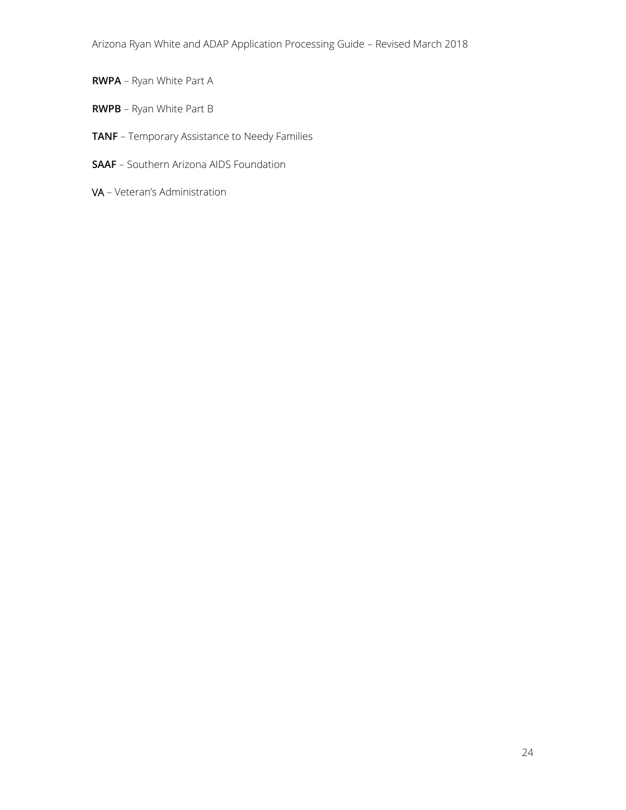- **RWPA** Ryan White Part A
- **RWPB** Ryan White Part B
- **TANF** Temporary Assistance to Needy Families
- **SAAF** Southern Arizona AIDS Foundation
- VA Veteran's Administration